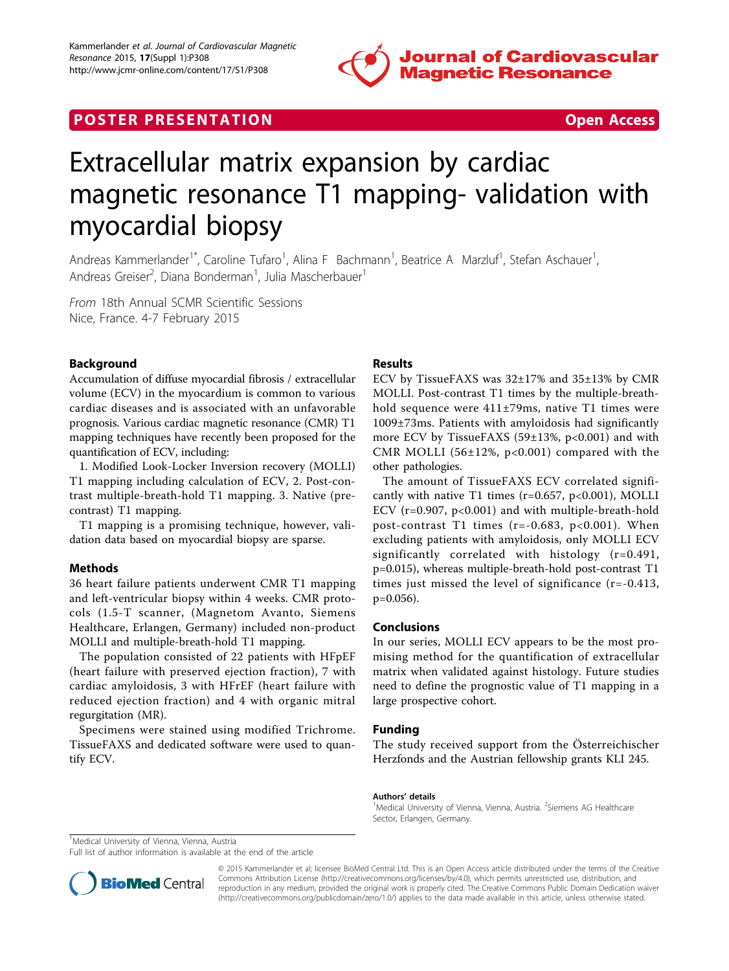

# **POSTER PRESENTATION CONSUMING THE SECOND CONSUMING THE SECOND CONSUMING THE SECOND CONSUMING THE SECOND CONSUMING THE SECOND CONSUMING THE SECOND CONSUMING THE SECOND CONSUMING THE SECOND CONSUMING THE SECOND CONSUMING**



# Extracellular matrix expansion by cardiac magnetic resonance T1 mapping- validation with myocardial biopsy

Andreas Kammerlander<sup>1\*</sup>, Caroline Tufaro<sup>1</sup>, Alina F Bachmann<sup>1</sup>, Beatrice A Marzluf<sup>1</sup>, Stefan Aschauer<sup>1</sup> , Andreas Greiser<sup>2</sup>, Diana Bonderman<sup>1</sup>, Julia Mascherbauer<sup>1</sup>

From 18th Annual SCMR Scientific Sessions Nice, France. 4-7 February 2015

## Background

Accumulation of diffuse myocardial fibrosis / extracellular volume (ECV) in the myocardium is common to various cardiac diseases and is associated with an unfavorable prognosis. Various cardiac magnetic resonance (CMR) T1 mapping techniques have recently been proposed for the quantification of ECV, including:

1. Modified Look-Locker Inversion recovery (MOLLI) T1 mapping including calculation of ECV, 2. Post-contrast multiple-breath-hold T1 mapping. 3. Native (precontrast) T1 mapping.

T1 mapping is a promising technique, however, validation data based on myocardial biopsy are sparse.

#### Methods

36 heart failure patients underwent CMR T1 mapping and left-ventricular biopsy within 4 weeks. CMR protocols (1.5-T scanner, (Magnetom Avanto, Siemens Healthcare, Erlangen, Germany) included non-product MOLLI and multiple-breath-hold T1 mapping.

The population consisted of 22 patients with HFpEF (heart failure with preserved ejection fraction), 7 with cardiac amyloidosis, 3 with HFrEF (heart failure with reduced ejection fraction) and 4 with organic mitral regurgitation (MR).

Specimens were stained using modified Trichrome. TissueFAXS and dedicated software were used to quantify ECV.

### Results

ECV by TissueFAXS was 32±17% and 35±13% by CMR MOLLI. Post-contrast T1 times by the multiple-breathhold sequence were 411±79ms, native T1 times were 1009±73ms. Patients with amyloidosis had significantly more ECV by TissueFAXS (59±13%, p<0.001) and with CMR MOLLI (56 $\pm$ 12%, p<0.001) compared with the other pathologies.

The amount of TissueFAXS ECV correlated significantly with native T1 times ( $r=0.657$ ,  $p<0.001$ ), MOLLI ECV (r=0.907, p<0.001) and with multiple-breath-hold post-contrast T1 times ( $r=-0.683$ ,  $p<0.001$ ). When excluding patients with amyloidosis, only MOLLI ECV significantly correlated with histology (r=0.491, p=0.015), whereas multiple-breath-hold post-contrast T1 times just missed the level of significance (r=-0.413, p=0.056).

#### Conclusions

In our series, MOLLI ECV appears to be the most promising method for the quantification of extracellular matrix when validated against histology. Future studies need to define the prognostic value of T1 mapping in a large prospective cohort.

#### Funding

The study received support from the Österreichischer Herzfonds and the Austrian fellowship grants KLI 245.

#### Authors' details <sup>1</sup>

Medical University of Vienna, Vienna, Austria. <sup>2</sup>Siemens AG Healthcare Sector, Erlangen, Germany.

<sup>1</sup>Medical University of Vienna, Vienna, Austria

Full list of author information is available at the end of the article



© 2015 Kammerlander et al; licensee BioMed Central Ltd. This is an Open Access article distributed under the terms of the Creative Commons Attribution License [\(http://creativecommons.org/licenses/by/4.0](http://creativecommons.org/licenses/by/4.0)), which permits unrestricted use, distribution, and reproduction in any medium, provided the original work is properly cited. The Creative Commons Public Domain Dedication waiver [\(http://creativecommons.org/publicdomain/zero/1.0/](http://creativecommons.org/publicdomain/zero/1.0/)) applies to the data made available in this article, unless otherwise stated.